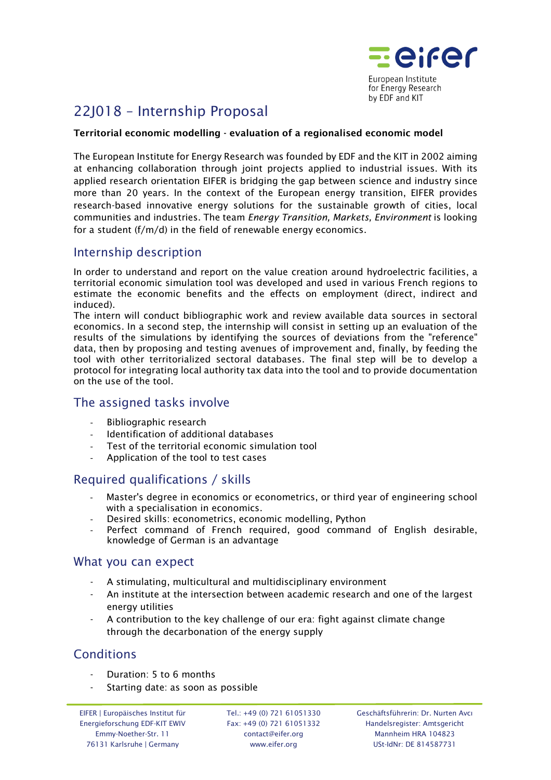

# 22J018 – Internship Proposal

#### Territorial economic modelling - evaluation of a regionalised economic model

The European Institute for Energy Research was founded by EDF and the KIT in 2002 aiming at enhancing collaboration through joint projects applied to industrial issues. With its applied research orientation EIFER is bridging the gap between science and industry since more than 20 years. In the context of the European energy transition, EIFER provides research-based innovative energy solutions for the sustainable growth of cities, local communities and industries. The team *Energy Transition, Markets, Environment* is looking for a student (f/m/d) in the field of renewable energy economics.

### Internship description

In order to understand and report on the value creation around hydroelectric facilities, a territorial economic simulation tool was developed and used in various French regions to estimate the economic benefits and the effects on employment (direct, indirect and induced).

The intern will conduct bibliographic work and review available data sources in sectoral economics. In a second step, the internship will consist in setting up an evaluation of the results of the simulations by identifying the sources of deviations from the "reference" data, then by proposing and testing avenues of improvement and, finally, by feeding the tool with other territorialized sectoral databases. The final step will be to develop a protocol for integrating local authority tax data into the tool and to provide documentation on the use of the tool.

#### The assigned tasks involve

- Bibliographic research
- Identification of additional databases
- Test of the territorial economic simulation tool
- Application of the tool to test cases

# Required qualifications / skills

- Master's degree in economics or econometrics, or third year of engineering school with a specialisation in economics.
- Desired skills: econometrics, economic modelling, Python
- Perfect command of French required, good command of English desirable, knowledge of German is an advantage

#### What you can expect

- A stimulating, multicultural and multidisciplinary environment
- An institute at the intersection between academic research and one of the largest energy utilities
- A contribution to the key challenge of our era: fight against climate change through the decarbonation of the energy supply

#### **Conditions**

- Duration: 5 to 6 months
- Starting date: as soon as possible

Tel.: +49 (0) 721 61051330 Fax: +49 (0) 721 61051332 contact@eifer.org www.eifer.org

Geschäftsführerin: Dr. Nurten Avcı Handelsregister: Amtsgericht Mannheim HRA 104823 USt-IdNr: DE 814587731